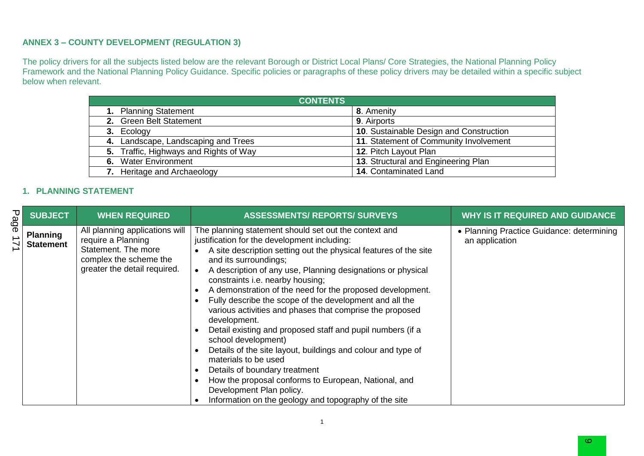#### **ANNEX 3 – COUNTY DEVELOPMENT (REGULATION 3)**

The policy drivers for all the subjects listed below are the relevant Borough or District Local Plans/ Core Strategies, the National Planning Policy Framework and the National Planning Policy Guidance. Specific policies or paragraphs of these policy drivers may be detailed within a specific subject below when relevant.

| <b>CONTENTS</b>                        |                                         |  |  |  |  |
|----------------------------------------|-----------------------------------------|--|--|--|--|
| 1. Planning Statement                  | 8. Amenity                              |  |  |  |  |
| 2. Green Belt Statement                | 9. Airports                             |  |  |  |  |
| 3. Ecology                             | 10. Sustainable Design and Construction |  |  |  |  |
| 4. Landscape, Landscaping and Trees    | 11. Statement of Community Involvement  |  |  |  |  |
| 5. Traffic, Highways and Rights of Way | 12. Pitch Layout Plan                   |  |  |  |  |
| 6. Water Environment                   | 13. Structural and Engineering Plan     |  |  |  |  |
| 7. Heritage and Archaeology            | 14. Contaminated Land                   |  |  |  |  |

### **1. PLANNING STATEMENT**

| Page | <b>SUBJECT</b>                      | <b>WHEN REQUIRED</b>                                                                                                                  | <b>ASSESSMENTS/ REPORTS/ SURVEYS</b>                                                                                                                                                                                                                                                                                                                                                                                                                                                                                                                                                                                                                                                                                                                                                                                                                                 | <b>WHY IS IT REQUIRED AND GUIDANCE</b>                      |
|------|-------------------------------------|---------------------------------------------------------------------------------------------------------------------------------------|----------------------------------------------------------------------------------------------------------------------------------------------------------------------------------------------------------------------------------------------------------------------------------------------------------------------------------------------------------------------------------------------------------------------------------------------------------------------------------------------------------------------------------------------------------------------------------------------------------------------------------------------------------------------------------------------------------------------------------------------------------------------------------------------------------------------------------------------------------------------|-------------------------------------------------------------|
|      | <b>Planning</b><br><b>Statement</b> | All planning applications will<br>require a Planning<br>Statement. The more<br>complex the scheme the<br>greater the detail required. | The planning statement should set out the context and<br>justification for the development including:<br>A site description setting out the physical features of the site<br>and its surroundings;<br>A description of any use, Planning designations or physical<br>constraints i.e. nearby housing;<br>A demonstration of the need for the proposed development.<br>Fully describe the scope of the development and all the<br>various activities and phases that comprise the proposed<br>development.<br>Detail existing and proposed staff and pupil numbers (if a<br>school development)<br>Details of the site layout, buildings and colour and type of<br>materials to be used<br>Details of boundary treatment<br>How the proposal conforms to European, National, and<br>Development Plan policy.<br>Information on the geology and topography of the site | • Planning Practice Guidance: determining<br>an application |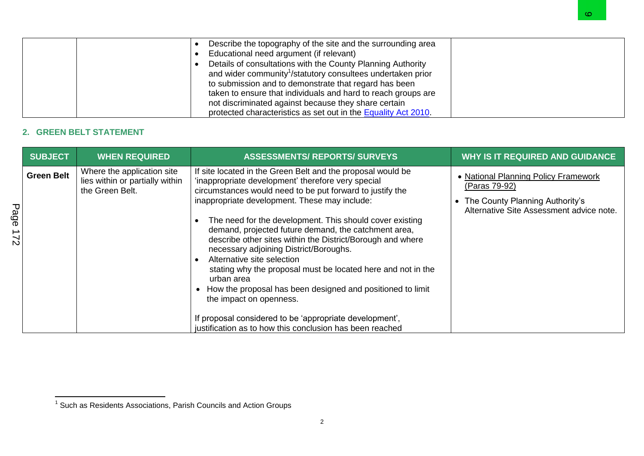| Describe the topography of the site and the surrounding area            |
|-------------------------------------------------------------------------|
| Educational need argument (if relevant)                                 |
| Details of consultations with the County Planning Authority             |
| and wider community <sup>1</sup> /statutory consultees undertaken prior |
| to submission and to demonstrate that regard has been                   |
| taken to ensure that individuals and hard to reach groups are           |
| not discriminated against because they share certain                    |
| protected characteristics as set out in the Equality Act 2010.          |

## **2. GREEN BELT STATEMENT**

|             |                   |                                                                                  | Describe the topography of the site and the surrounding area<br>$\bullet$<br>Educational need argument (if relevant)<br>$\bullet$<br>Details of consultations with the County Planning Authority<br>$\bullet$<br>and wider community <sup>1</sup> /statutory consultees undertaken prior<br>to submission and to demonstrate that regard has been<br>taken to ensure that individuals and hard to reach groups are<br>not discriminated against because they share certain<br>protected characteristics as set out in the Equality Act 2010.                                                                                                                    | ∞                                                                                                                                    |
|-------------|-------------------|----------------------------------------------------------------------------------|-----------------------------------------------------------------------------------------------------------------------------------------------------------------------------------------------------------------------------------------------------------------------------------------------------------------------------------------------------------------------------------------------------------------------------------------------------------------------------------------------------------------------------------------------------------------------------------------------------------------------------------------------------------------|--------------------------------------------------------------------------------------------------------------------------------------|
|             |                   | <b>GREEN BELT STATEMENT</b>                                                      |                                                                                                                                                                                                                                                                                                                                                                                                                                                                                                                                                                                                                                                                 |                                                                                                                                      |
|             | <b>SUBJECT</b>    | <b>WHEN REQUIRED</b>                                                             | <b>ASSESSMENTS/ REPORTS/ SURVEYS</b>                                                                                                                                                                                                                                                                                                                                                                                                                                                                                                                                                                                                                            | <b>WHY IS IT REQUIRED AND GUIDANCE</b>                                                                                               |
| Page<br>221 | <b>Green Belt</b> | Where the application site<br>lies within or partially within<br>the Green Belt. | If site located in the Green Belt and the proposal would be<br>'inappropriate development' therefore very special<br>circumstances would need to be put forward to justify the<br>inappropriate development. These may include:<br>The need for the development. This should cover existing<br>$\bullet$<br>demand, projected future demand, the catchment area,<br>describe other sites within the District/Borough and where<br>necessary adjoining District/Boroughs.<br>Alternative site selection<br>$\bullet$<br>stating why the proposal must be located here and not in the<br>urban area<br>How the proposal has been designed and positioned to limit | • National Planning Policy Framework<br>(Paras 79-92)<br>The County Planning Authority's<br>Alternative Site Assessment advice note. |

 1 Such as Residents Associations, Parish Councils and Action Groups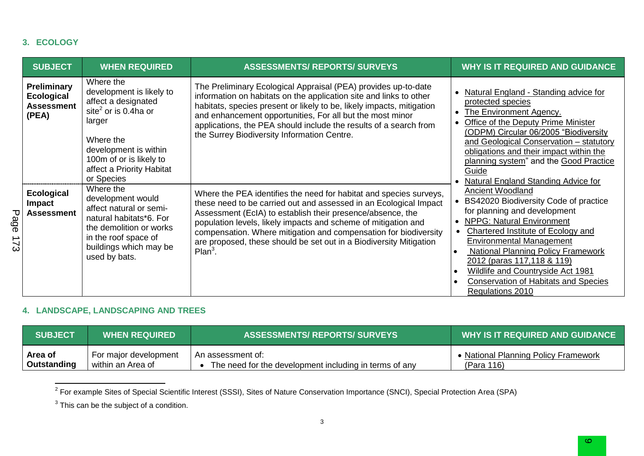### **3. ECOLOGY**

|             | <b>SUBJECT</b>                                                 | <b>WHEN REQUIRED</b>                                                                                                                                                                                                   | <b>ASSESSMENTS/ REPORTS/ SURVEYS</b>                                                                                                                                                                                                                                                                                                                                                                                           | <b>WHY IS IT REQUIRED AND GUIDANCE</b>                                                                                                                                                                                                                                                                                                                                                                              |
|-------------|----------------------------------------------------------------|------------------------------------------------------------------------------------------------------------------------------------------------------------------------------------------------------------------------|--------------------------------------------------------------------------------------------------------------------------------------------------------------------------------------------------------------------------------------------------------------------------------------------------------------------------------------------------------------------------------------------------------------------------------|---------------------------------------------------------------------------------------------------------------------------------------------------------------------------------------------------------------------------------------------------------------------------------------------------------------------------------------------------------------------------------------------------------------------|
|             | Preliminary<br><b>Ecological</b><br><b>Assessment</b><br>(PEA) | Where the<br>development is likely to<br>affect a designated<br>site <sup>2</sup> or is 0.4ha or<br>larger<br>Where the<br>development is within<br>100m of or is likely to<br>affect a Priority Habitat<br>or Species | The Preliminary Ecological Appraisal (PEA) provides up-to-date<br>information on habitats on the application site and links to other<br>habitats, species present or likely to be, likely impacts, mitigation<br>and enhancement opportunities, For all but the most minor<br>applications, the PEA should include the results of a search from<br>the Surrey Biodiversity Information Centre.                                 | Natural England - Standing advice for<br>protected species<br>The Environment Agency.<br>Office of the Deputy Prime Minister<br>(ODPM) Circular 06/2005 "Biodiversity<br>and Geological Conservation - statutory<br>obligations and their impact within the<br>planning system" and the Good Practice<br>Guide<br>Natural England Standing Advice for                                                               |
| Page<br>173 | <b>Ecological</b><br>Impact<br><b>Assessment</b>               | Where the<br>development would<br>affect natural or semi-<br>natural habitats*6. For<br>the demolition or works<br>in the roof space of<br>buildings which may be<br>used by bats.                                     | Where the PEA identifies the need for habitat and species surveys,<br>these need to be carried out and assessed in an Ecological Impact<br>Assessment (EcIA) to establish their presence/absence, the<br>population levels, likely impacts and scheme of mitigation and<br>compensation. Where mitigation and compensation for biodiversity<br>are proposed, these should be set out in a Biodiversity Mitigation<br>$Plan3$ . | <b>Ancient Woodland</b><br>BS42020 Biodiversity Code of practice<br>for planning and development<br><b>NPPG: Natural Environment</b><br>$\bullet$<br>Chartered Institute of Ecology and<br><b>Environmental Management</b><br>National Planning Policy Framework<br>$\bullet$<br>2012 (paras 117,118 & 119)<br>Wildlife and Countryside Act 1981<br><b>Conservation of Habitats and Species</b><br>Regulations 2010 |

# **4. LANDSCAPE, LANDSCAPING AND TREES**

| <b>SUBJECT</b> | <b>WHEN REQUIRED</b>  | <b>ASSESSMENTS/ REPORTS/ SURVEYS</b>                   | WHY IS IT REQUIRED AND GUIDANCE      |
|----------------|-----------------------|--------------------------------------------------------|--------------------------------------|
| Area of        | For major development | An assessment of:                                      | • National Planning Policy Framework |
| Outstanding    | within an Area of     | The need for the development including in terms of any | (Para 116)                           |

2 For example Sites of Special Scientific Interest (SSSI), Sites of Nature Conservation Importance (SNCI), Special Protection Area (SPA)

 $3$  This can be the subject of a condition.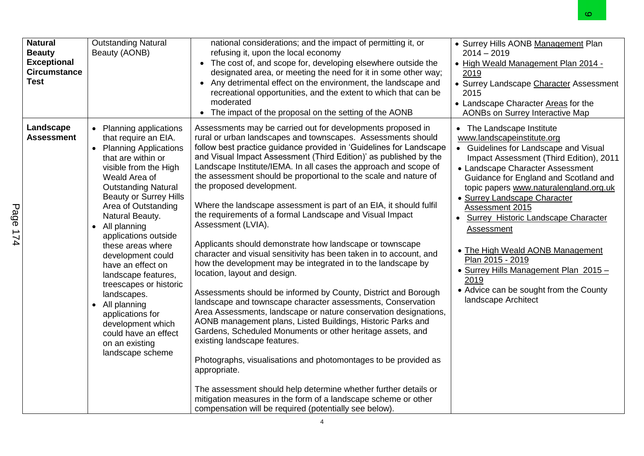|             |                                                                                             |                                                                                                                                                                                                                                                                                                                                                                                                                                                                                                                                                       |                                                                                                                                                                                                                                                                                                                                                                                                                                                                                                                                                                                                                                                                                                                                                                                                                                                                                                                                                                                                                                                                                                                                                                                                                                                                                                                                                                                                                                                                                            | ∞                                                                                                                                                                                                                                                                                                                                                                                                                                                                                                                                                                |
|-------------|---------------------------------------------------------------------------------------------|-------------------------------------------------------------------------------------------------------------------------------------------------------------------------------------------------------------------------------------------------------------------------------------------------------------------------------------------------------------------------------------------------------------------------------------------------------------------------------------------------------------------------------------------------------|--------------------------------------------------------------------------------------------------------------------------------------------------------------------------------------------------------------------------------------------------------------------------------------------------------------------------------------------------------------------------------------------------------------------------------------------------------------------------------------------------------------------------------------------------------------------------------------------------------------------------------------------------------------------------------------------------------------------------------------------------------------------------------------------------------------------------------------------------------------------------------------------------------------------------------------------------------------------------------------------------------------------------------------------------------------------------------------------------------------------------------------------------------------------------------------------------------------------------------------------------------------------------------------------------------------------------------------------------------------------------------------------------------------------------------------------------------------------------------------------|------------------------------------------------------------------------------------------------------------------------------------------------------------------------------------------------------------------------------------------------------------------------------------------------------------------------------------------------------------------------------------------------------------------------------------------------------------------------------------------------------------------------------------------------------------------|
|             | <b>Natural</b><br><b>Beauty</b><br><b>Exceptional</b><br><b>Circumstance</b><br><b>Test</b> | <b>Outstanding Natural</b><br>Beauty (AONB)                                                                                                                                                                                                                                                                                                                                                                                                                                                                                                           | national considerations; and the impact of permitting it, or<br>refusing it, upon the local economy<br>• The cost of, and scope for, developing elsewhere outside the<br>designated area, or meeting the need for it in some other way;<br>Any detrimental effect on the environment, the landscape and<br>$\bullet$<br>recreational opportunities, and the extent to which that can be<br>moderated<br>• The impact of the proposal on the setting of the AONB                                                                                                                                                                                                                                                                                                                                                                                                                                                                                                                                                                                                                                                                                                                                                                                                                                                                                                                                                                                                                            | • Surrey Hills AONB Management Plan<br>$2014 - 2019$<br>. High Weald Management Plan 2014 -<br>2019<br>• Surrey Landscape Character Assessment<br>2015<br>• Landscape Character Areas for the<br>AONBs on Surrey Interactive Map                                                                                                                                                                                                                                                                                                                                 |
| Page<br>174 | Landscape<br><b>Assessment</b>                                                              | • Planning applications<br>that require an EIA.<br>• Planning Applications<br>that are within or<br>visible from the High<br>Weald Area of<br><b>Outstanding Natural</b><br><b>Beauty or Surrey Hills</b><br>Area of Outstanding<br>Natural Beauty.<br>• All planning<br>applications outside<br>these areas where<br>development could<br>have an effect on<br>landscape features,<br>treescapes or historic<br>landscapes.<br>• All planning<br>applications for<br>development which<br>could have an effect<br>on an existing<br>landscape scheme | Assessments may be carried out for developments proposed in<br>rural or urban landscapes and townscapes. Assessments should<br>follow best practice guidance provided in 'Guidelines for Landscape<br>and Visual Impact Assessment (Third Edition)' as published by the<br>Landscape Institute/IEMA. In all cases the approach and scope of<br>the assessment should be proportional to the scale and nature of<br>the proposed development.<br>Where the landscape assessment is part of an EIA, it should fulfil<br>the requirements of a formal Landscape and Visual Impact<br>Assessment (LVIA).<br>Applicants should demonstrate how landscape or townscape<br>character and visual sensitivity has been taken in to account, and<br>how the development may be integrated in to the landscape by<br>location, layout and design.<br>Assessments should be informed by County, District and Borough<br>landscape and townscape character assessments, Conservation<br>Area Assessments, landscape or nature conservation designations,<br>AONB management plans, Listed Buildings, Historic Parks and<br>Gardens, Scheduled Monuments or other heritage assets, and<br>existing landscape features.<br>Photographs, visualisations and photomontages to be provided as<br>appropriate.<br>The assessment should help determine whether further details or<br>mitigation measures in the form of a landscape scheme or other<br>compensation will be required (potentially see below). | • The Landscape Institute<br>www.landscapeinstitute.org<br>• Guidelines for Landscape and Visual<br>Impact Assessment (Third Edition), 2011<br>• Landscape Character Assessment<br>Guidance for England and Scotland and<br>topic papers www.naturalengland.org.uk<br>• Surrey Landscape Character<br>Assessment 2015<br>Surrey Historic Landscape Character<br>$\bullet$<br>Assessment<br>• The High Weald AONB Management<br>Plan 2015 - 2019<br>• Surrey Hills Management Plan 2015-<br>2019<br>• Advice can be sought from the County<br>landscape Architect |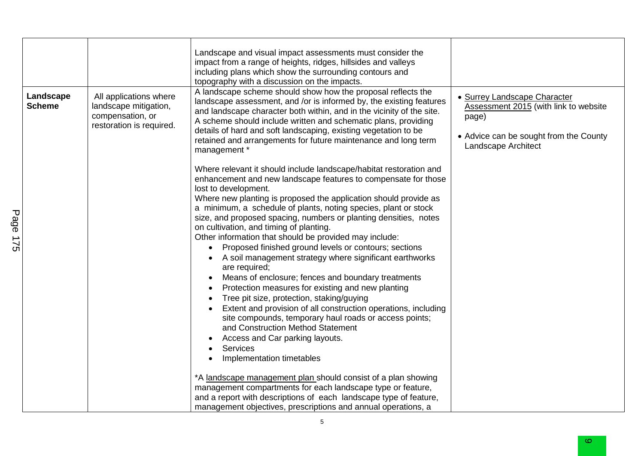| Landscape<br><b>Scheme</b> | All applications where<br>landscape mitigation,<br>compensation, or<br>restoration is required. | Landscape and visual impact assessments must consider the<br>impact from a range of heights, ridges, hillsides and valleys<br>including plans which show the surrounding contours and<br>topography with a discussion on the impacts.<br>A landscape scheme should show how the proposal reflects the<br>landscape assessment, and /or is informed by, the existing features<br>and landscape character both within, and in the vicinity of the site.<br>A scheme should include written and schematic plans, providing<br>details of hard and soft landscaping, existing vegetation to be<br>retained and arrangements for future maintenance and long term<br>management *                                                                                                                                                                                                                                                                                                                                                                                                                                                                                                                                                                                                                              | · Surrey Landscape Character<br>Assessment 2015 (with link to website<br>page)<br>• Advice can be sought from the County<br>Landscape Architect |
|----------------------------|-------------------------------------------------------------------------------------------------|-----------------------------------------------------------------------------------------------------------------------------------------------------------------------------------------------------------------------------------------------------------------------------------------------------------------------------------------------------------------------------------------------------------------------------------------------------------------------------------------------------------------------------------------------------------------------------------------------------------------------------------------------------------------------------------------------------------------------------------------------------------------------------------------------------------------------------------------------------------------------------------------------------------------------------------------------------------------------------------------------------------------------------------------------------------------------------------------------------------------------------------------------------------------------------------------------------------------------------------------------------------------------------------------------------------|-------------------------------------------------------------------------------------------------------------------------------------------------|
|                            |                                                                                                 | Where relevant it should include landscape/habitat restoration and<br>enhancement and new landscape features to compensate for those<br>lost to development.<br>Where new planting is proposed the application should provide as<br>a minimum, a schedule of plants, noting species, plant or stock<br>size, and proposed spacing, numbers or planting densities, notes<br>on cultivation, and timing of planting.<br>Other information that should be provided may include:<br>Proposed finished ground levels or contours; sections<br>A soil management strategy where significant earthworks<br>are required;<br>Means of enclosure; fences and boundary treatments<br>Protection measures for existing and new planting<br>Tree pit size, protection, staking/guying<br>Extent and provision of all construction operations, including<br>site compounds, temporary haul roads or access points;<br>and Construction Method Statement<br>Access and Car parking layouts.<br>Services<br>$\bullet$<br>Implementation timetables<br>*A landscape management plan should consist of a plan showing<br>management compartments for each landscape type or feature,<br>and a report with descriptions of each landscape type of feature,<br>management objectives, prescriptions and annual operations, a |                                                                                                                                                 |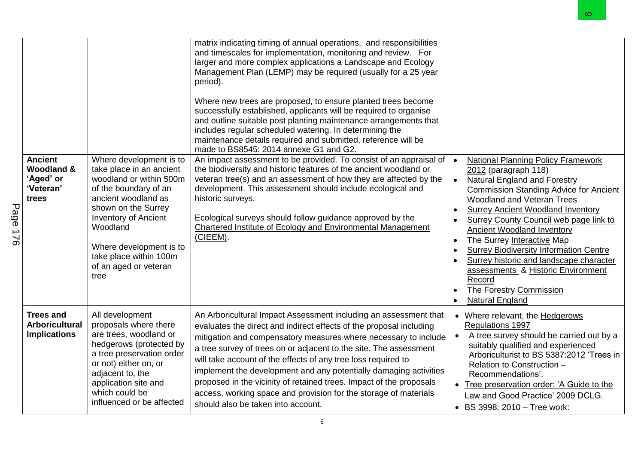|             |                                                                            |                                                                                                                                                                                                                                                                                        |                                                                                                                                                                                                                                                                                                                                                                                                                                                                                                                                                                                                                                                                  | യ                                                                                                                                                                                                                                                                                                                                                                                                                                                                                                                                                                                                     |
|-------------|----------------------------------------------------------------------------|----------------------------------------------------------------------------------------------------------------------------------------------------------------------------------------------------------------------------------------------------------------------------------------|------------------------------------------------------------------------------------------------------------------------------------------------------------------------------------------------------------------------------------------------------------------------------------------------------------------------------------------------------------------------------------------------------------------------------------------------------------------------------------------------------------------------------------------------------------------------------------------------------------------------------------------------------------------|-------------------------------------------------------------------------------------------------------------------------------------------------------------------------------------------------------------------------------------------------------------------------------------------------------------------------------------------------------------------------------------------------------------------------------------------------------------------------------------------------------------------------------------------------------------------------------------------------------|
|             |                                                                            |                                                                                                                                                                                                                                                                                        | matrix indicating timing of annual operations, and responsibilities<br>and timescales for implementation, monitoring and review. For<br>larger and more complex applications a Landscape and Ecology<br>Management Plan (LEMP) may be required (usually for a 25 year<br>period).<br>Where new trees are proposed, to ensure planted trees become<br>successfully established, applicants will be required to organise<br>and outline suitable post planting maintenance arrangements that<br>includes regular scheduled watering. In determining the<br>maintenance details required and submitted, reference will be<br>made to BS8545: 2014 annexe G1 and G2. |                                                                                                                                                                                                                                                                                                                                                                                                                                                                                                                                                                                                       |
| Page<br>170 | <b>Ancient</b><br><b>Woodland &amp;</b><br>'Aged' or<br>'Veteran'<br>trees | Where development is to<br>take place in an ancient<br>woodland or within 500m<br>of the boundary of an<br>ancient woodland as<br>shown on the Surrey<br><b>Inventory of Ancient</b><br>Woodland<br>Where development is to<br>take place within 100m<br>of an aged or veteran<br>tree | An impact assessment to be provided. To consist of an appraisal of<br>the biodiversity and historic features of the ancient woodland or<br>veteran tree(s) and an assessment of how they are affected by the<br>development. This assessment should include ecological and<br>historic surveys.<br>Ecological surveys should follow guidance approved by the<br>Chartered Institute of Ecology and Environmental Management<br>(CIEEM).                                                                                                                                                                                                                          | <b>National Planning Policy Framework</b><br>$\bullet$<br>2012 (paragraph 118)<br>Natural England and Forestry<br>$\bullet$<br><b>Commission Standing Advice for Ancient</b><br><b>Woodland and Veteran Trees</b><br><b>Surrey Ancient Woodland Inventory</b><br>$\bullet$<br>Surrey County Council web page link to<br><b>Ancient Woodland Inventory</b><br>The Surrey Interactive Map<br>$\bullet$<br><b>Surrey Biodiversity Information Centre</b><br>Surrey historic and landscape character<br>assessments & Historic Environment<br>Record<br>The Forestry Commission<br><b>Natural England</b> |
|             | <b>Trees and</b><br><b>Arboricultural</b><br><b>Implications</b>           | All development<br>proposals where there<br>are trees, woodland or<br>hedgerows (protected by<br>a tree preservation order<br>or not) either on, or<br>adjacent to, the<br>application site and<br>which could be<br>influenced or be affected                                         | An Arboricultural Impact Assessment including an assessment that<br>evaluates the direct and indirect effects of the proposal including<br>mitigation and compensatory measures where necessary to include<br>a tree survey of trees on or adjacent to the site. The assessment<br>will take account of the effects of any tree loss required to<br>implement the development and any potentially damaging activities<br>proposed in the vicinity of retained trees. Impact of the proposals<br>access, working space and provision for the storage of materials<br>should also be taken into account.                                                           | • Where relevant, the Hedgerows<br><b>Regulations 1997</b><br>A tree survey should be carried out by a<br>suitably qualified and experienced<br>Arboriculturist to BS 5387:2012 'Trees in<br>Relation to Construction -<br>Recommendations'.<br>Tree preservation order: 'A Guide to the<br>Law and Good Practice' 2009 DCLG.<br>• BS 3998: 2010 - Tree work:                                                                                                                                                                                                                                         |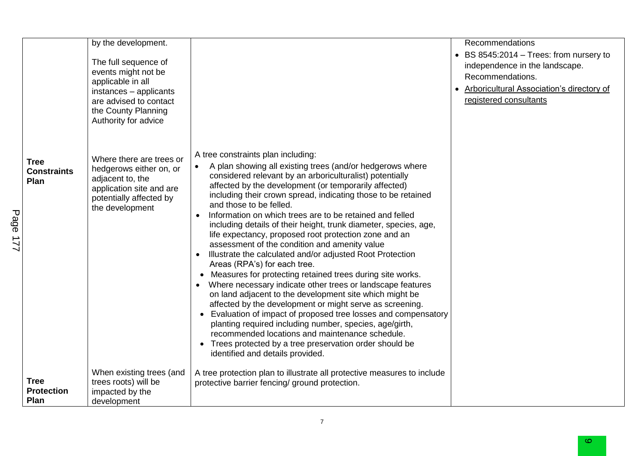| <b>Tree</b><br><b>Constraints</b><br>Plan | by the development.<br>The full sequence of<br>events might not be<br>applicable in all<br>instances - applicants<br>are advised to contact<br>the County Planning<br>Authority for advice<br>Where there are trees or<br>hedgerows either on, or<br>adjacent to, the<br>application site and are | A tree constraints plan including:<br>A plan showing all existing trees (and/or hedgerows where<br>$\bullet$<br>considered relevant by an arboriculturalist) potentially<br>affected by the development (or temporarily affected)<br>including their crown spread, indicating those to be retained                                                                                                                                                                                                                                                                                                                                                                                                                                                                                                                                                                                                                          | Recommendations<br>• BS 8545:2014 - Trees: from nursery to<br>independence in the landscape.<br>Recommendations.<br>Arboricultural Association's directory of<br>$\bullet$<br>registered consultants |
|-------------------------------------------|---------------------------------------------------------------------------------------------------------------------------------------------------------------------------------------------------------------------------------------------------------------------------------------------------|-----------------------------------------------------------------------------------------------------------------------------------------------------------------------------------------------------------------------------------------------------------------------------------------------------------------------------------------------------------------------------------------------------------------------------------------------------------------------------------------------------------------------------------------------------------------------------------------------------------------------------------------------------------------------------------------------------------------------------------------------------------------------------------------------------------------------------------------------------------------------------------------------------------------------------|------------------------------------------------------------------------------------------------------------------------------------------------------------------------------------------------------|
|                                           | potentially affected by<br>the development                                                                                                                                                                                                                                                        | and those to be felled.<br>Information on which trees are to be retained and felled<br>$\bullet$<br>including details of their height, trunk diameter, species, age,<br>life expectancy, proposed root protection zone and an<br>assessment of the condition and amenity value<br>Illustrate the calculated and/or adjusted Root Protection<br>$\bullet$<br>Areas (RPA's) for each tree.<br>Measures for protecting retained trees during site works.<br>Where necessary indicate other trees or landscape features<br>on land adjacent to the development site which might be<br>affected by the development or might serve as screening.<br>• Evaluation of impact of proposed tree losses and compensatory<br>planting required including number, species, age/girth,<br>recommended locations and maintenance schedule.<br>• Trees protected by a tree preservation order should be<br>identified and details provided. |                                                                                                                                                                                                      |
| <b>Tree</b><br><b>Protection</b><br>Plan  | When existing trees (and<br>trees roots) will be<br>impacted by the<br>development                                                                                                                                                                                                                | A tree protection plan to illustrate all protective measures to include<br>protective barrier fencing/ ground protection.                                                                                                                                                                                                                                                                                                                                                                                                                                                                                                                                                                                                                                                                                                                                                                                                   |                                                                                                                                                                                                      |

7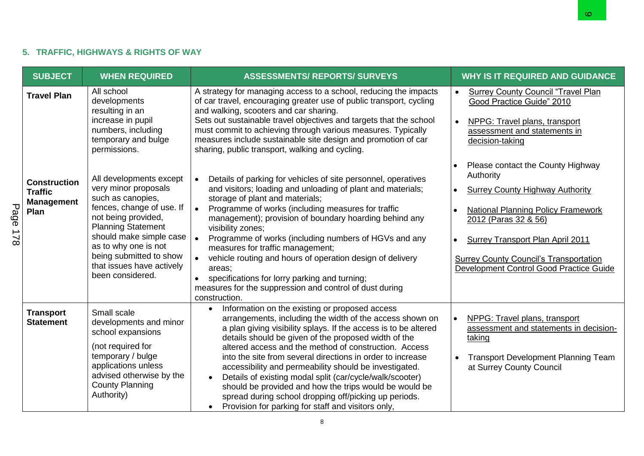# **5. TRAFFIC, HIGHWAYS & RIGHTS OF WAY**

|                       |                                                                    |                                                                                                                                                                                                                                                                                      |                                                                                                                                                                                                                                                                                                                                                                                                                                                                                                                                                                                                                                                                                                    | ဖ                                                                                                                                                                                                                                                                                                                                           |
|-----------------------|--------------------------------------------------------------------|--------------------------------------------------------------------------------------------------------------------------------------------------------------------------------------------------------------------------------------------------------------------------------------|----------------------------------------------------------------------------------------------------------------------------------------------------------------------------------------------------------------------------------------------------------------------------------------------------------------------------------------------------------------------------------------------------------------------------------------------------------------------------------------------------------------------------------------------------------------------------------------------------------------------------------------------------------------------------------------------------|---------------------------------------------------------------------------------------------------------------------------------------------------------------------------------------------------------------------------------------------------------------------------------------------------------------------------------------------|
|                       |                                                                    | 5. TRAFFIC, HIGHWAYS & RIGHTS OF WAY                                                                                                                                                                                                                                                 |                                                                                                                                                                                                                                                                                                                                                                                                                                                                                                                                                                                                                                                                                                    |                                                                                                                                                                                                                                                                                                                                             |
|                       | <b>SUBJECT</b>                                                     | <b>WHEN REQUIRED</b>                                                                                                                                                                                                                                                                 | <b>ASSESSMENTS/ REPORTS/ SURVEYS</b>                                                                                                                                                                                                                                                                                                                                                                                                                                                                                                                                                                                                                                                               | <b>WHY IS IT REQUIRED AND GUIDANCE</b>                                                                                                                                                                                                                                                                                                      |
|                       | <b>Travel Plan</b>                                                 | All school<br>developments<br>resulting in an<br>increase in pupil<br>numbers, including<br>temporary and bulge<br>permissions.                                                                                                                                                      | A strategy for managing access to a school, reducing the impacts<br>of car travel, encouraging greater use of public transport, cycling<br>and walking, scooters and car sharing.<br>Sets out sustainable travel objectives and targets that the school<br>must commit to achieving through various measures. Typically<br>measures include sustainable site design and promotion of car<br>sharing, public transport, walking and cycling.                                                                                                                                                                                                                                                        | <b>Surrey County Council "Travel Plan</b><br>$\bullet$<br>Good Practice Guide" 2010<br>$\bullet$<br>NPPG: Travel plans, transport<br>assessment and statements in<br>decision-taking                                                                                                                                                        |
| Page<br>$\frac{1}{8}$ | <b>Construction</b><br><b>Traffic</b><br><b>Management</b><br>Plan | All developments except<br>very minor proposals<br>such as canopies,<br>fences, change of use. If<br>not being provided,<br><b>Planning Statement</b><br>should make simple case<br>as to why one is not<br>being submitted to show<br>that issues have actively<br>been considered. | Details of parking for vehicles of site personnel, operatives<br>and visitors; loading and unloading of plant and materials;<br>storage of plant and materials;<br>Programme of works (including measures for traffic<br>$\bullet$<br>management); provision of boundary hoarding behind any<br>visibility zones;<br>Programme of works (including numbers of HGVs and any<br>$\bullet$<br>measures for traffic management;<br>vehicle routing and hours of operation design of delivery<br>areas;<br>specifications for lorry parking and turning;<br>$\bullet$<br>measures for the suppression and control of dust during<br>construction.                                                       | Please contact the County Highway<br>Authority<br><b>Surrey County Highway Authority</b><br>$\bullet$<br><b>National Planning Policy Framework</b><br>$\bullet$<br>2012 (Paras 32 & 56)<br><b>Surrey Transport Plan April 2011</b><br>$\bullet$<br><b>Surrey County Council's Transportation</b><br>Development Control Good Practice Guide |
|                       | <b>Transport</b><br><b>Statement</b>                               | Small scale<br>developments and minor<br>school expansions<br>(not required for<br>temporary / bulge<br>applications unless<br>advised otherwise by the<br><b>County Planning</b><br>Authority)                                                                                      | Information on the existing or proposed access<br>$\bullet$<br>arrangements, including the width of the access shown on<br>a plan giving visibility splays. If the access is to be altered<br>details should be given of the proposed width of the<br>altered access and the method of construction. Access<br>into the site from several directions in order to increase<br>accessibility and permeability should be investigated.<br>Details of existing modal split (car/cycle/walk/scooter)<br>$\bullet$<br>should be provided and how the trips would be would be<br>spread during school dropping off/picking up periods.<br>Provision for parking for staff and visitors only,<br>$\bullet$ | NPPG: Travel plans, transport<br>$\bullet$<br>assessment and statements in decision-<br>taking<br><b>Transport Development Planning Team</b><br>$\bullet$<br>at Surrey County Council                                                                                                                                                       |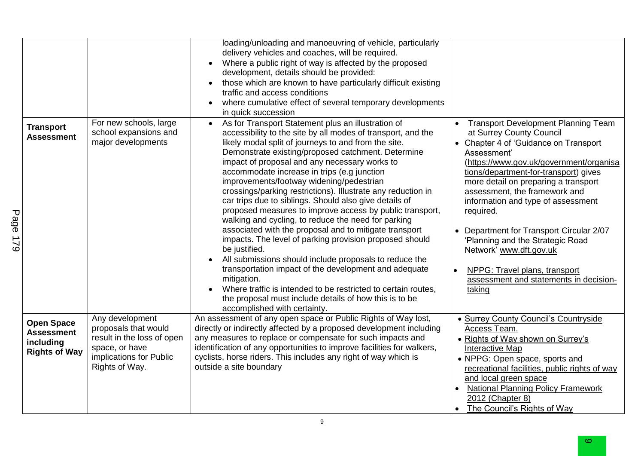|                                                                             |                                                                                                                                      | loading/unloading and manoeuvring of vehicle, particularly<br>delivery vehicles and coaches, will be required.<br>Where a public right of way is affected by the proposed<br>$\bullet$<br>development, details should be provided:<br>those which are known to have particularly difficult existing<br>$\bullet$<br>traffic and access conditions<br>where cumulative effect of several temporary developments<br>$\bullet$<br>in quick succession                                                                                                                                                                                                                                                                                                                                                                                                                                                                                                                                                                                                                        |                                                                                                                                                                                                                                                                                                                                                                                                                                                                                                                                                |
|-----------------------------------------------------------------------------|--------------------------------------------------------------------------------------------------------------------------------------|---------------------------------------------------------------------------------------------------------------------------------------------------------------------------------------------------------------------------------------------------------------------------------------------------------------------------------------------------------------------------------------------------------------------------------------------------------------------------------------------------------------------------------------------------------------------------------------------------------------------------------------------------------------------------------------------------------------------------------------------------------------------------------------------------------------------------------------------------------------------------------------------------------------------------------------------------------------------------------------------------------------------------------------------------------------------------|------------------------------------------------------------------------------------------------------------------------------------------------------------------------------------------------------------------------------------------------------------------------------------------------------------------------------------------------------------------------------------------------------------------------------------------------------------------------------------------------------------------------------------------------|
| <b>Transport</b><br><b>Assessment</b>                                       | For new schools, large<br>school expansions and<br>major developments                                                                | As for Transport Statement plus an illustration of<br>$\bullet$<br>accessibility to the site by all modes of transport, and the<br>likely modal split of journeys to and from the site.<br>Demonstrate existing/proposed catchment. Determine<br>impact of proposal and any necessary works to<br>accommodate increase in trips (e.g junction<br>improvements/footway widening/pedestrian<br>crossings/parking restrictions). Illustrate any reduction in<br>car trips due to siblings. Should also give details of<br>proposed measures to improve access by public transport,<br>walking and cycling, to reduce the need for parking<br>associated with the proposal and to mitigate transport<br>impacts. The level of parking provision proposed should<br>be justified.<br>All submissions should include proposals to reduce the<br>transportation impact of the development and adequate<br>mitigation.<br>Where traffic is intended to be restricted to certain routes,<br>the proposal must include details of how this is to be<br>accomplished with certainty. | <b>Transport Development Planning Team</b><br>at Surrey County Council<br>• Chapter 4 of 'Guidance on Transport<br>Assessment'<br>(https://www.gov.uk/government/organisa<br>tions/department-for-transport) gives<br>more detail on preparing a transport<br>assessment, the framework and<br>information and type of assessment<br>required.<br>• Department for Transport Circular 2/07<br>'Planning and the Strategic Road<br>Network' www.dft.gov.uk<br>NPPG: Travel plans, transport<br>assessment and statements in decision-<br>taking |
| <b>Open Space</b><br><b>Assessment</b><br>including<br><b>Rights of Way</b> | Any development<br>proposals that would<br>result in the loss of open<br>space, or have<br>implications for Public<br>Rights of Way. | An assessment of any open space or Public Rights of Way lost,<br>directly or indirectly affected by a proposed development including<br>any measures to replace or compensate for such impacts and<br>identification of any opportunities to improve facilities for walkers,<br>cyclists, horse riders. This includes any right of way which is<br>outside a site boundary                                                                                                                                                                                                                                                                                                                                                                                                                                                                                                                                                                                                                                                                                                | • Surrey County Council's Countryside<br>Access Team.<br>• Rights of Way shown on Surrey's<br>Interactive Map<br>• NPPG: Open space, sports and<br>recreational facilities, public rights of way<br>and local green space<br><b>National Planning Policy Framework</b><br>2012 (Chapter 8)<br>• The Council's Rights of Way                                                                                                                                                                                                                    |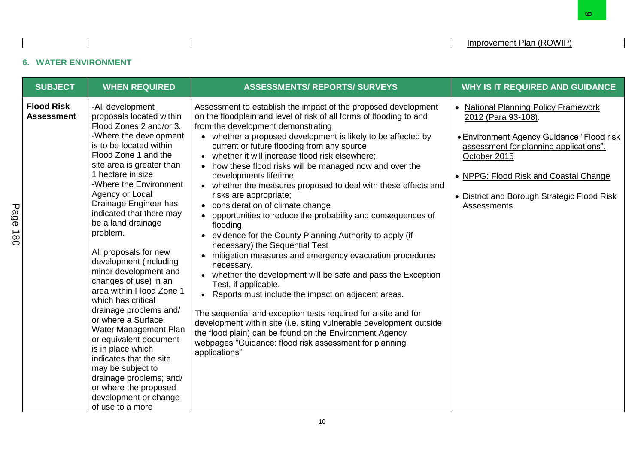# **6. WATER ENVIRONMENT**

|                                                                  |                                                                                                                                                                                                                                                                                                                                                                                                                                                                                                                                                                                                                                                                                                                                                                            |                                                                                                                                                                                                                                                                                                                                                                                                                                                                                                                                                                                                                                                                                                                                                                                                                                                                                                                                                                                                                                                                                                                                                                                                                                                            | Improvement Plan (ROWIP)                                                                                                                                                                                                                                                         |
|------------------------------------------------------------------|----------------------------------------------------------------------------------------------------------------------------------------------------------------------------------------------------------------------------------------------------------------------------------------------------------------------------------------------------------------------------------------------------------------------------------------------------------------------------------------------------------------------------------------------------------------------------------------------------------------------------------------------------------------------------------------------------------------------------------------------------------------------------|------------------------------------------------------------------------------------------------------------------------------------------------------------------------------------------------------------------------------------------------------------------------------------------------------------------------------------------------------------------------------------------------------------------------------------------------------------------------------------------------------------------------------------------------------------------------------------------------------------------------------------------------------------------------------------------------------------------------------------------------------------------------------------------------------------------------------------------------------------------------------------------------------------------------------------------------------------------------------------------------------------------------------------------------------------------------------------------------------------------------------------------------------------------------------------------------------------------------------------------------------------|----------------------------------------------------------------------------------------------------------------------------------------------------------------------------------------------------------------------------------------------------------------------------------|
|                                                                  | <b>WATER ENVIRONMENT</b>                                                                                                                                                                                                                                                                                                                                                                                                                                                                                                                                                                                                                                                                                                                                                   |                                                                                                                                                                                                                                                                                                                                                                                                                                                                                                                                                                                                                                                                                                                                                                                                                                                                                                                                                                                                                                                                                                                                                                                                                                                            |                                                                                                                                                                                                                                                                                  |
| <b>SUBJECT</b>                                                   | <b>WHEN REQUIRED</b>                                                                                                                                                                                                                                                                                                                                                                                                                                                                                                                                                                                                                                                                                                                                                       | <b>ASSESSMENTS/ REPORTS/ SURVEYS</b>                                                                                                                                                                                                                                                                                                                                                                                                                                                                                                                                                                                                                                                                                                                                                                                                                                                                                                                                                                                                                                                                                                                                                                                                                       | <b>WHY IS IT REQUIRED AND GUIDANCE</b>                                                                                                                                                                                                                                           |
| <b>Flood Risk</b><br><b>Assessment</b><br>Page<br>$\frac{1}{80}$ | -All development<br>proposals located within<br>Flood Zones 2 and/or 3.<br>-Where the development<br>is to be located within<br>Flood Zone 1 and the<br>site area is greater than<br>1 hectare in size<br>-Where the Environment<br>Agency or Local<br>Drainage Engineer has<br>indicated that there may<br>be a land drainage<br>problem.<br>All proposals for new<br>development (including<br>minor development and<br>changes of use) in an<br>area within Flood Zone 1<br>which has critical<br>drainage problems and/<br>or where a Surface<br>Water Management Plan<br>or equivalent document<br>is in place which<br>indicates that the site<br>may be subject to<br>drainage problems; and/<br>or where the proposed<br>development or change<br>of use to a more | Assessment to establish the impact of the proposed development<br>on the floodplain and level of risk of all forms of flooding to and<br>from the development demonstrating<br>• whether a proposed development is likely to be affected by<br>current or future flooding from any source<br>• whether it will increase flood risk elsewhere;<br>• how these flood risks will be managed now and over the<br>developments lifetime,<br>• whether the measures proposed to deal with these effects and<br>risks are appropriate;<br>• consideration of climate change<br>opportunities to reduce the probability and consequences of<br>flooding,<br>• evidence for the County Planning Authority to apply (if<br>necessary) the Sequential Test<br>• mitigation measures and emergency evacuation procedures<br>necessary.<br>• whether the development will be safe and pass the Exception<br>Test, if applicable.<br>• Reports must include the impact on adjacent areas.<br>The sequential and exception tests required for a site and for<br>development within site (i.e. siting vulnerable development outside<br>the flood plain) can be found on the Environment Agency<br>webpages "Guidance: flood risk assessment for planning<br>applications" | • National Planning Policy Framework<br>2012 (Para 93-108).<br><b>• Environment Agency Guidance "Flood risk</b><br>assessment for planning applications",<br>October 2015<br>• NPPG: Flood Risk and Coastal Change<br>• District and Borough Strategic Flood Risk<br>Assessments |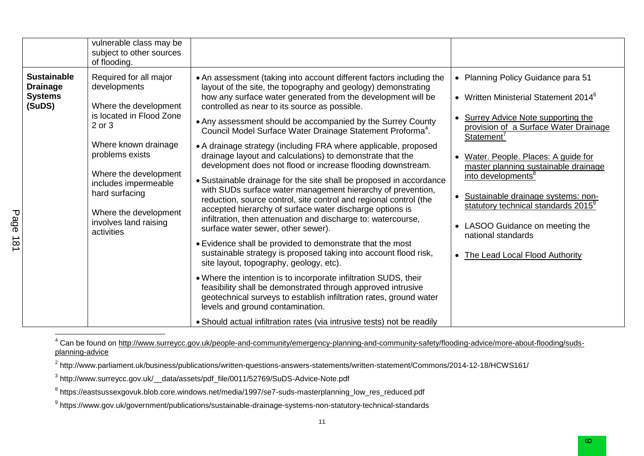| vulnerable class may be<br>subject to other sources<br>of flooding.                                                                                                                                                                                                                                                                                      |                                                                                                                                                                                                                                                                                                                                                                                                                                                                                                                                                                                                                                                                                                                                                                                                                                                                                                                                                                                                                                                                                                                                                                                                                                                                                                                                                                                                                                                                                   |                                                                                                                                                                                                                                                                                                                                                                                                                                                                                                  |
|----------------------------------------------------------------------------------------------------------------------------------------------------------------------------------------------------------------------------------------------------------------------------------------------------------------------------------------------------------|-----------------------------------------------------------------------------------------------------------------------------------------------------------------------------------------------------------------------------------------------------------------------------------------------------------------------------------------------------------------------------------------------------------------------------------------------------------------------------------------------------------------------------------------------------------------------------------------------------------------------------------------------------------------------------------------------------------------------------------------------------------------------------------------------------------------------------------------------------------------------------------------------------------------------------------------------------------------------------------------------------------------------------------------------------------------------------------------------------------------------------------------------------------------------------------------------------------------------------------------------------------------------------------------------------------------------------------------------------------------------------------------------------------------------------------------------------------------------------------|--------------------------------------------------------------------------------------------------------------------------------------------------------------------------------------------------------------------------------------------------------------------------------------------------------------------------------------------------------------------------------------------------------------------------------------------------------------------------------------------------|
| <b>Sustainable</b><br>Required for all major<br>developments<br><b>Drainage</b><br><b>Systems</b><br>(SuDS)<br>Where the development<br>is located in Flood Zone<br>2 or 3<br>Where known drainage<br>problems exists<br>Where the development<br>includes impermeable<br>hard surfacing<br>Where the development<br>involves land raising<br>activities | • An assessment (taking into account different factors including the<br>layout of the site, the topography and geology) demonstrating<br>how any surface water generated from the development will be<br>controlled as near to its source as possible.<br>• Any assessment should be accompanied by the Surrey County<br>Council Model Surface Water Drainage Statement Proforma <sup>4</sup> .<br>• A drainage strategy (including FRA where applicable, proposed<br>drainage layout and calculations) to demonstrate that the<br>development does not flood or increase flooding downstream.<br>• Sustainable drainage for the site shall be proposed in accordance<br>with SUDs surface water management hierarchy of prevention,<br>reduction, source control, site control and regional control (the<br>accepted hierarchy of surface water discharge options is<br>infiltration, then attenuation and discharge to: watercourse,<br>surface water sewer, other sewer).<br>• Evidence shall be provided to demonstrate that the most<br>sustainable strategy is proposed taking into account flood risk,<br>site layout, topography, geology, etc).<br>. Where the intention is to incorporate infiltration SUDS, their<br>feasibility shall be demonstrated through approved intrusive<br>geotechnical surveys to establish infiltration rates, ground water<br>levels and ground contamination.<br>• Should actual infiltration rates (via intrusive tests) not be readily | • Planning Policy Guidance para 51<br>• Written Ministerial Statement 2014 $6$<br>• Surrey Advice Note supporting the<br>provision of a Surface Water Drainage<br>Statement <sup>'</sup><br>• Water. People. Places: A guide for<br>master planning sustainable drainage<br>into developments <sup>8</sup><br>Sustainable drainage systems: non-<br>statutory technical standards 2015 <sup>9</sup><br>• LASOO Guidance on meeting the<br>national standards<br>• The Lead Local Flood Authority |

<sup>4</sup> Can be found on [http://www.surreycc.gov.uk/people-and-community/emergency-planning-and-community-safety/flooding-advice/more-about-flooding/suds](http://www.surreycc.gov.uk/people-and-community/emergency-planning-and-community-safety/flooding-advice/more-about-flooding/suds-planning-advice)[planning-advice](http://www.surreycc.gov.uk/people-and-community/emergency-planning-and-community-safety/flooding-advice/more-about-flooding/suds-planning-advice)

 $^2$  http://www.parliament.uk/business/publications/written-questions-answers-statements/written-statement/Commons/2014-12-18/HCWS161/

<sup>3</sup> http://www.surreycc.gov.uk/\_\_data/assets/pdf\_file/0011/52769/SuDS-Advice-Note.pdf

Page 181

 $^8$  https://eastsussexgovuk.blob.core.windows.net/media/1997/se7-suds-masterplanning\_low\_res\_reduced.pdf

<sup>9</sup> https://www.gov.uk/government/publications/sustainable-drainage-systems-non-statutory-technical-standards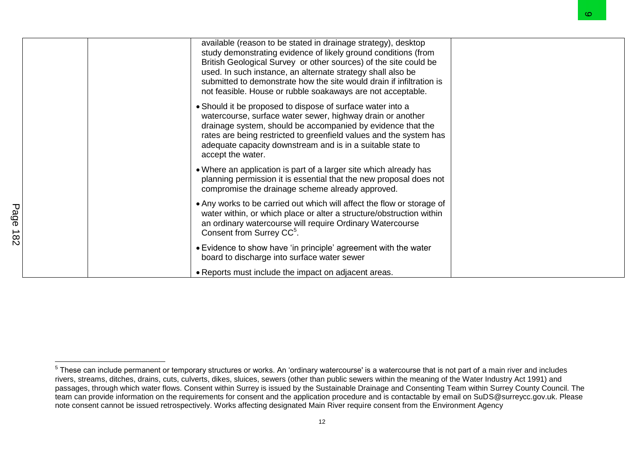|                            |                                                                                                                                                                                                                                                                                                                                                                                                           | O. |
|----------------------------|-----------------------------------------------------------------------------------------------------------------------------------------------------------------------------------------------------------------------------------------------------------------------------------------------------------------------------------------------------------------------------------------------------------|----|
|                            | available (reason to be stated in drainage strategy), desktop<br>study demonstrating evidence of likely ground conditions (from<br>British Geological Survey or other sources) of the site could be<br>used. In such instance, an alternate strategy shall also be<br>submitted to demonstrate how the site would drain if infiltration is<br>not feasible. House or rubble soakaways are not acceptable. |    |
|                            | • Should it be proposed to dispose of surface water into a<br>watercourse, surface water sewer, highway drain or another<br>drainage system, should be accompanied by evidence that the<br>rates are being restricted to greenfield values and the system has<br>adequate capacity downstream and is in a suitable state to<br>accept the water.                                                          |    |
|                            | • Where an application is part of a larger site which already has<br>planning permission it is essential that the new proposal does not<br>compromise the drainage scheme already approved.                                                                                                                                                                                                               |    |
| Page<br>∸<br>$\frac{8}{2}$ | • Any works to be carried out which will affect the flow or storage of<br>water within, or which place or alter a structure/obstruction within<br>an ordinary watercourse will require Ordinary Watercourse<br>Consent from Surrey CC <sup>5</sup> .                                                                                                                                                      |    |
|                            | • Evidence to show have 'in principle' agreement with the water<br>board to discharge into surface water sewer                                                                                                                                                                                                                                                                                            |    |
|                            | • Reports must include the impact on adjacent areas.                                                                                                                                                                                                                                                                                                                                                      |    |

 5 These can include permanent or temporary structures or works. An 'ordinary watercourse' is a watercourse that is not part of a main river and includes rivers, streams, ditches, drains, cuts, culverts, dikes, sluices, sewers (other than public sewers within the meaning of the Water Industry Act 1991) and passages, through which water flows. Consent within Surrey is issued by the Sustainable Drainage and Consenting Team within Surrey County Council. The team can provide information on the requirements for consent and the application procedure and is contactable by email on SuDS@surreycc.gov.uk. Please note consent cannot be issued retrospectively. Works affecting designated Main River require consent from the Environment Agency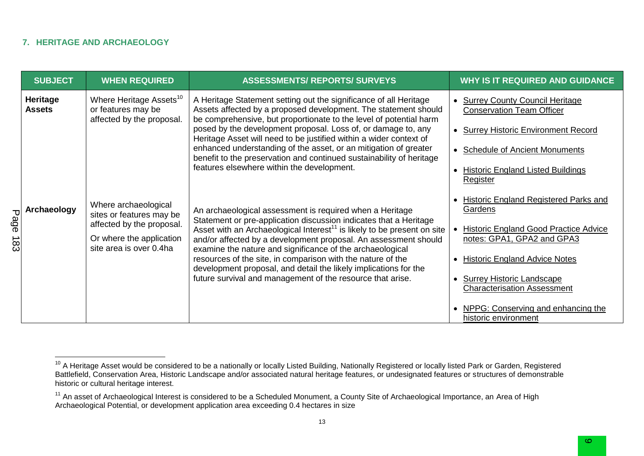#### **7. HERITAGE AND ARCHAEOLOGY**

|           | <b>SUBJECT</b>            | <b>WHEN REQUIRED</b>                                                                                                                 | <b>ASSESSMENTS/ REPORTS/ SURVEYS</b>                                                                                                                                                                                                                                                                                                                                                                                                                                                                                                                                                                                                                                                                                                            | <b>WHY IS IT REQUIRED AND GUIDANCE</b>                                     |
|-----------|---------------------------|--------------------------------------------------------------------------------------------------------------------------------------|-------------------------------------------------------------------------------------------------------------------------------------------------------------------------------------------------------------------------------------------------------------------------------------------------------------------------------------------------------------------------------------------------------------------------------------------------------------------------------------------------------------------------------------------------------------------------------------------------------------------------------------------------------------------------------------------------------------------------------------------------|----------------------------------------------------------------------------|
|           | Heritage<br><b>Assets</b> | Where Heritage Assets <sup>10</sup><br>or features may be<br>affected by the proposal.                                               | A Heritage Statement setting out the significance of all Heritage<br>Assets affected by a proposed development. The statement should<br>be comprehensive, but proportionate to the level of potential harm                                                                                                                                                                                                                                                                                                                                                                                                                                                                                                                                      | • Surrey County Council Heritage<br><b>Conservation Team Officer</b>       |
|           |                           |                                                                                                                                      | posed by the development proposal. Loss of, or damage to, any<br>Heritage Asset will need to be justified within a wider context of                                                                                                                                                                                                                                                                                                                                                                                                                                                                                                                                                                                                             | <b>Surrey Historic Environment Record</b>                                  |
|           |                           |                                                                                                                                      | enhanced understanding of the asset, or an mitigation of greater<br>benefit to the preservation and continued sustainability of heritage<br>features elsewhere within the development.<br>An archaeological assessment is required when a Heritage<br>Statement or pre-application discussion indicates that a Heritage<br>Asset with an Archaeological Interest <sup>11</sup> is likely to be present on site<br>and/or affected by a development proposal. An assessment should<br>examine the nature and significance of the archaeological<br>resources of the site, in comparison with the nature of the<br>development proposal, and detail the likely implications for the<br>future survival and management of the resource that arise. | <b>Schedule of Ancient Monuments</b>                                       |
|           |                           |                                                                                                                                      |                                                                                                                                                                                                                                                                                                                                                                                                                                                                                                                                                                                                                                                                                                                                                 | <b>Historic England Listed Buildings</b><br>$\bullet$<br>Register          |
|           | Archaeology               | Where archaeological<br>sites or features may be<br>affected by the proposal.<br>Or where the application<br>site area is over 0.4ha |                                                                                                                                                                                                                                                                                                                                                                                                                                                                                                                                                                                                                                                                                                                                                 | Historic England Registered Parks and<br>$\bullet$<br>Gardens              |
| age<br>ထိ |                           |                                                                                                                                      |                                                                                                                                                                                                                                                                                                                                                                                                                                                                                                                                                                                                                                                                                                                                                 | <b>Historic England Good Practice Advice</b><br>notes: GPA1, GPA2 and GPA3 |
|           |                           |                                                                                                                                      |                                                                                                                                                                                                                                                                                                                                                                                                                                                                                                                                                                                                                                                                                                                                                 | <b>Historic England Advice Notes</b>                                       |
|           |                           |                                                                                                                                      |                                                                                                                                                                                                                                                                                                                                                                                                                                                                                                                                                                                                                                                                                                                                                 | <b>Surrey Historic Landscape</b><br><b>Characterisation Assessment</b>     |
|           |                           |                                                                                                                                      |                                                                                                                                                                                                                                                                                                                                                                                                                                                                                                                                                                                                                                                                                                                                                 | NPPG: Conserving and enhancing the<br>$\bullet$<br>historic environment    |

<sup>&</sup>lt;sup>10</sup> A Heritage Asset would be considered to be a nationally or locally Listed Building, Nationally Registered or locally listed Park or Garden, Registered Battlefield, Conservation Area, Historic Landscape and/or associated natural heritage features, or undesignated features or structures of demonstrable historic or cultural heritage interest.

<sup>&</sup>lt;sup>11</sup> An asset of Archaeological Interest is considered to be a Scheduled Monument, a County Site of Archaeological Importance, an Area of High Archaeological Potential, or development application area exceeding 0.4 hectares in size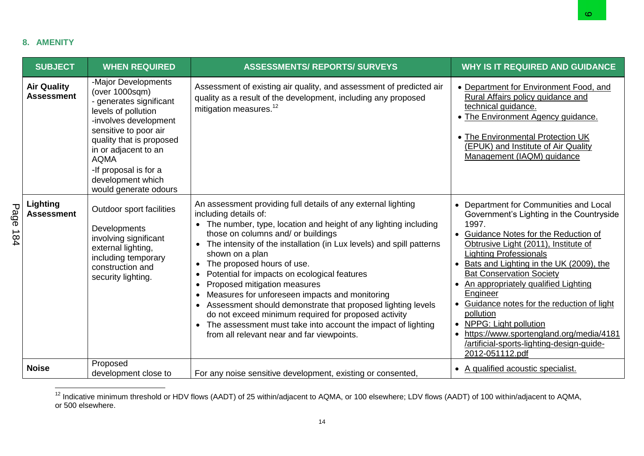## **8. AMENITY**

|          |                                         |                                                                                                                                                                                                                                                                                     |                                                                                                                                                                                                                                                                                                                                                                                                                                                                                                                                                                                                                                                                                                                                            | అ                                                                                                                                                                                                                                                                                                                                                                                                                                                                                                                                                                                   |
|----------|-----------------------------------------|-------------------------------------------------------------------------------------------------------------------------------------------------------------------------------------------------------------------------------------------------------------------------------------|--------------------------------------------------------------------------------------------------------------------------------------------------------------------------------------------------------------------------------------------------------------------------------------------------------------------------------------------------------------------------------------------------------------------------------------------------------------------------------------------------------------------------------------------------------------------------------------------------------------------------------------------------------------------------------------------------------------------------------------------|-------------------------------------------------------------------------------------------------------------------------------------------------------------------------------------------------------------------------------------------------------------------------------------------------------------------------------------------------------------------------------------------------------------------------------------------------------------------------------------------------------------------------------------------------------------------------------------|
|          | <b>AMENITY</b>                          |                                                                                                                                                                                                                                                                                     |                                                                                                                                                                                                                                                                                                                                                                                                                                                                                                                                                                                                                                                                                                                                            |                                                                                                                                                                                                                                                                                                                                                                                                                                                                                                                                                                                     |
|          | <b>SUBJECT</b>                          | <b>WHEN REQUIRED</b>                                                                                                                                                                                                                                                                | <b>ASSESSMENTS/ REPORTS/ SURVEYS</b>                                                                                                                                                                                                                                                                                                                                                                                                                                                                                                                                                                                                                                                                                                       | <b>WHY IS IT REQUIRED AND GUIDANCE</b>                                                                                                                                                                                                                                                                                                                                                                                                                                                                                                                                              |
|          | <b>Air Quality</b><br><b>Assessment</b> | -Major Developments<br>(over 1000sqm)<br>- generates significant<br>levels of pollution<br>-involves development<br>sensitive to poor air<br>quality that is proposed<br>in or adjacent to an<br><b>AQMA</b><br>-If proposal is for a<br>development which<br>would generate odours | Assessment of existing air quality, and assessment of predicted air<br>quality as a result of the development, including any proposed<br>mitigation measures. <sup>12</sup>                                                                                                                                                                                                                                                                                                                                                                                                                                                                                                                                                                | • Department for Environment Food, and<br>Rural Affairs policy guidance and<br>technical guidance.<br>• The Environment Agency guidance.<br>• The Environmental Protection UK<br>(EPUK) and Institute of Air Quality<br>Management (IAQM) guidance                                                                                                                                                                                                                                                                                                                                  |
| Page 184 | Lighting<br><b>Assessment</b>           | Outdoor sport facilities<br>Developments<br>involving significant<br>external lighting,<br>including temporary<br>construction and<br>security lighting.                                                                                                                            | An assessment providing full details of any external lighting<br>including details of:<br>• The number, type, location and height of any lighting including<br>those on columns and/ or buildings<br>• The intensity of the installation (in Lux levels) and spill patterns<br>shown on a plan<br>The proposed hours of use.<br>$\bullet$<br>Potential for impacts on ecological features<br>$\bullet$<br>Proposed mitigation measures<br>$\bullet$<br>Measures for unforeseen impacts and monitoring<br>Assessment should demonstrate that proposed lighting levels<br>do not exceed minimum required for proposed activity<br>The assessment must take into account the impact of lighting<br>from all relevant near and far viewpoints. | • Department for Communities and Local<br>Government's Lighting in the Countryside<br>1997.<br>• Guidance Notes for the Reduction of<br>Obtrusive Light (2011), Institute of<br><b>Lighting Professionals</b><br>Bats and Lighting in the UK (2009), the<br>$\bullet$<br><b>Bat Conservation Society</b><br>An appropriately qualified Lighting<br>Engineer<br>Guidance notes for the reduction of light<br>$\bullet$<br>pollution<br>NPPG: Light pollution<br>https://www.sportengland.org/media/4181<br>$\bullet$<br>/artificial-sports-lighting-design-guide-<br>2012-051112.pdf |
|          | <b>Noise</b>                            | Proposed<br>development close to                                                                                                                                                                                                                                                    | For any noise sensitive development, existing or consented,                                                                                                                                                                                                                                                                                                                                                                                                                                                                                                                                                                                                                                                                                | • A qualified acoustic specialist.                                                                                                                                                                                                                                                                                                                                                                                                                                                                                                                                                  |

<sup>&</sup>lt;sup>12</sup> Indicative minimum threshold or HDV flows (AADT) of 25 within/adjacent to AQMA, or 100 elsewhere; LDV flows (AADT) of 100 within/adjacent to AQMA, or 500 elsewhere.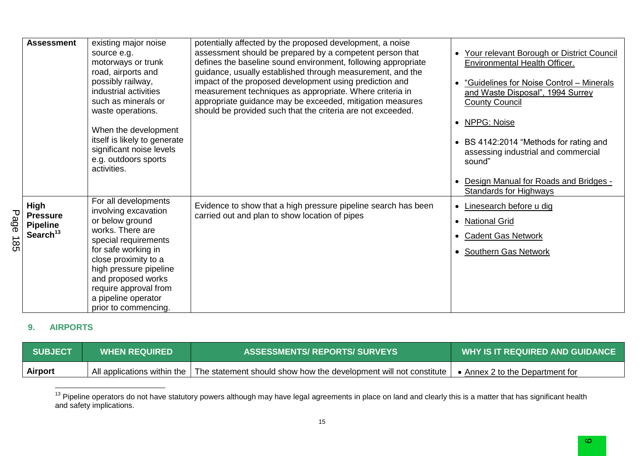|                    | <b>Assessment</b>                                                | existing major noise<br>source e.g.<br>motorways or trunk<br>road, airports and<br>possibly railway,<br>industrial activities<br>such as minerals or<br>waste operations.<br>When the development<br>itself is likely to generate<br>significant noise levels<br>e.g. outdoors sports<br>activities. | potentially affected by the proposed development, a noise<br>assessment should be prepared by a competent person that<br>defines the baseline sound environment, following appropriate<br>guidance, usually established through measurement, and the<br>impact of the proposed development using prediction and<br>measurement techniques as appropriate. Where criteria in<br>appropriate guidance may be exceeded, mitigation measures<br>should be provided such that the criteria are not exceeded. | Your relevant Borough or District Council<br><b>Environmental Health Officer.</b><br>"Guidelines for Noise Control - Minerals<br>and Waste Disposal", 1994 Surrey<br><b>County Council</b><br>NPPG: Noise<br>• BS 4142:2014 "Methods for rating and<br>assessing industrial and commercial<br>sound"<br>Design Manual for Roads and Bridges - |
|--------------------|------------------------------------------------------------------|------------------------------------------------------------------------------------------------------------------------------------------------------------------------------------------------------------------------------------------------------------------------------------------------------|---------------------------------------------------------------------------------------------------------------------------------------------------------------------------------------------------------------------------------------------------------------------------------------------------------------------------------------------------------------------------------------------------------------------------------------------------------------------------------------------------------|-----------------------------------------------------------------------------------------------------------------------------------------------------------------------------------------------------------------------------------------------------------------------------------------------------------------------------------------------|
| Page<br><b>185</b> | <b>High</b><br><b>Pressure</b><br><b>Pipeline</b><br>Search $13$ | For all developments<br>involving excavation<br>or below ground<br>works. There are<br>special requirements<br>for safe working in<br>close proximity to a<br>high pressure pipeline<br>and proposed works<br>require approval from<br>a pipeline operator<br>prior to commencing.                   | Evidence to show that a high pressure pipeline search has been<br>carried out and plan to show location of pipes                                                                                                                                                                                                                                                                                                                                                                                        | Standards for Highways<br>Linesearch before u dig<br>$\bullet$<br><b>National Grid</b><br><b>Cadent Gas Network</b><br><b>Southern Gas Network</b>                                                                                                                                                                                            |

### **9. AIRPORTS**

| <b>SUBJECT</b> | <b>WHEN REQUIRED</b> | <b>ASSESSMENTS/ REPORTS/ SURVEYS</b>                                                            | WHY IS IT REQUIRED AND GUIDANCE |
|----------------|----------------------|-------------------------------------------------------------------------------------------------|---------------------------------|
| Airport        |                      | All applications within the   The statement should show how the development will not constitute | Annex 2 to the Department for   |

<sup>&</sup>lt;sup>13</sup> Pipeline operators do not have statutory powers although may have legal agreements in place on land and clearly this is a matter that has significant health and safety implications.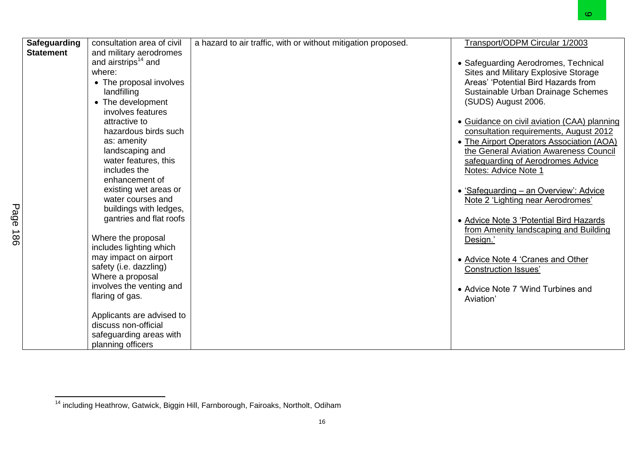|                                                                   |                                                                                                                                                                                                                                                                                                                                                                                                                                                                                                                                                                                                                                                                                                            |                                                               | O.                                                                                                                                                                                                                                                                                                                                                                                                                                                                                                                                                                                                                                                                                                                                                                    |
|-------------------------------------------------------------------|------------------------------------------------------------------------------------------------------------------------------------------------------------------------------------------------------------------------------------------------------------------------------------------------------------------------------------------------------------------------------------------------------------------------------------------------------------------------------------------------------------------------------------------------------------------------------------------------------------------------------------------------------------------------------------------------------------|---------------------------------------------------------------|-----------------------------------------------------------------------------------------------------------------------------------------------------------------------------------------------------------------------------------------------------------------------------------------------------------------------------------------------------------------------------------------------------------------------------------------------------------------------------------------------------------------------------------------------------------------------------------------------------------------------------------------------------------------------------------------------------------------------------------------------------------------------|
| <b>Safeguarding</b><br><b>Statement</b><br>Page<br>$\frac{1}{86}$ | consultation area of civil<br>and military aerodromes<br>and airstrips <sup>14</sup> and<br>where:<br>• The proposal involves<br>landfilling<br>• The development<br>involves features<br>attractive to<br>hazardous birds such<br>as: amenity<br>landscaping and<br>water features, this<br>includes the<br>enhancement of<br>existing wet areas or<br>water courses and<br>buildings with ledges,<br>gantries and flat roofs<br>Where the proposal<br>includes lighting which<br>may impact on airport<br>safety (i.e. dazzling)<br>Where a proposal<br>involves the venting and<br>flaring of gas.<br>Applicants are advised to<br>discuss non-official<br>safeguarding areas with<br>planning officers | a hazard to air traffic, with or without mitigation proposed. | Transport/ODPM Circular 1/2003<br>• Safeguarding Aerodromes, Technical<br>Sites and Military Explosive Storage<br>Areas' 'Potential Bird Hazards from<br>Sustainable Urban Drainage Schemes<br>(SUDS) August 2006.<br>• Guidance on civil aviation (CAA) planning<br>consultation requirements, August 2012<br>• The Airport Operators Association (AOA)<br>the General Aviation Awareness Council<br>safeguarding of Aerodromes Advice<br>Notes: Advice Note 1<br>• 'Safeguarding - an Overview': Advice<br>Note 2 'Lighting near Aerodromes'<br>• Advice Note 3 'Potential Bird Hazards<br>from Amenity landscaping and Building<br>Design.'<br>• Advice Note 4 'Cranes and Other<br><b>Construction Issues'</b><br>• Advice Note 7 'Wind Turbines and<br>Aviation' |

<sup>&</sup>lt;sup>14</sup> including Heathrow, Gatwick, Biggin Hill, Farnborough, Fairoaks, Northolt, Odiham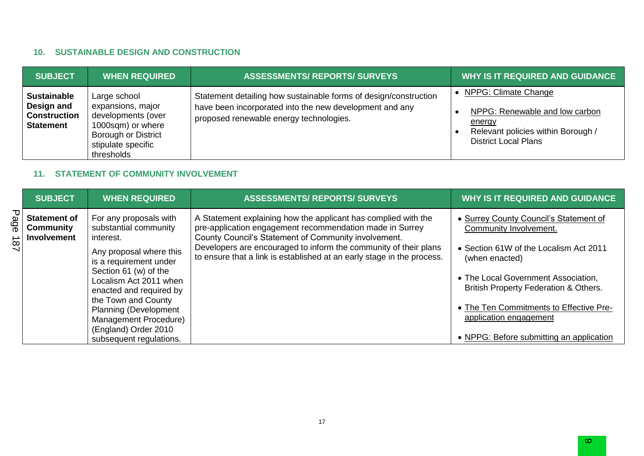## **10. SUSTAINABLE DESIGN AND CONSTRUCTION**

| <b>SUBJECT</b>                                                              | <b>WHEN REQUIRED</b>                                                                                                                           | <b>ASSESSMENTS/ REPORTS/ SURVEYS</b>                                                                                                                                   | <b>WHY IS IT REQUIRED AND GUIDANCE</b>                                                                                                |
|-----------------------------------------------------------------------------|------------------------------------------------------------------------------------------------------------------------------------------------|------------------------------------------------------------------------------------------------------------------------------------------------------------------------|---------------------------------------------------------------------------------------------------------------------------------------|
| <b>Sustainable</b><br>Design and<br><b>Construction</b><br><b>Statement</b> | Large school<br>expansions, major<br>developments (over<br>1000sqm) or where<br><b>Borough or District</b><br>stipulate specific<br>thresholds | Statement detailing how sustainable forms of design/construction<br>have been incorporated into the new development and any<br>proposed renewable energy technologies. | NPPG: Climate Change<br>NPPG: Renewable and low carbon<br>energy<br>Relevant policies within Borough /<br><b>District Local Plans</b> |

### **11. STATEMENT OF COMMUNITY INVOLVEMENT**

| <b>SUBJECT</b>                                         | <b>WHEN REQUIRED</b>                                                                                                                                                                                                                                                                                                               | <b>ASSESSMENTS/ REPORTS/ SURVEYS</b>                                                                                                                                                                                                                                                                                             | <b>WHY IS IT REQUIRED AND GUIDANCE</b>                                                                                                                                                                                                                                                                                        |
|--------------------------------------------------------|------------------------------------------------------------------------------------------------------------------------------------------------------------------------------------------------------------------------------------------------------------------------------------------------------------------------------------|----------------------------------------------------------------------------------------------------------------------------------------------------------------------------------------------------------------------------------------------------------------------------------------------------------------------------------|-------------------------------------------------------------------------------------------------------------------------------------------------------------------------------------------------------------------------------------------------------------------------------------------------------------------------------|
| <b>Statement of</b><br>Community<br><b>Involvement</b> | For any proposals with<br>substantial community<br>interest.<br>Any proposal where this<br>is a requirement under<br>Section 61 (w) of the<br>Localism Act 2011 when<br>enacted and required by<br>the Town and County<br><b>Planning (Development</b><br>Management Procedure)<br>(England) Order 2010<br>subsequent regulations. | A Statement explaining how the applicant has complied with the<br>pre-application engagement recommendation made in Surrey<br>County Council's Statement of Community involvement.<br>Developers are encouraged to inform the community of their plans<br>to ensure that a link is established at an early stage in the process. | • Surrey County Council's Statement of<br>Community Involvement.<br>• Section 61W of the Localism Act 2011<br>(when enacted)<br>• The Local Government Association,<br>British Property Federation & Others.<br>• The Ten Commitments to Effective Pre-<br>application engagement<br>• NPPG: Before submitting an application |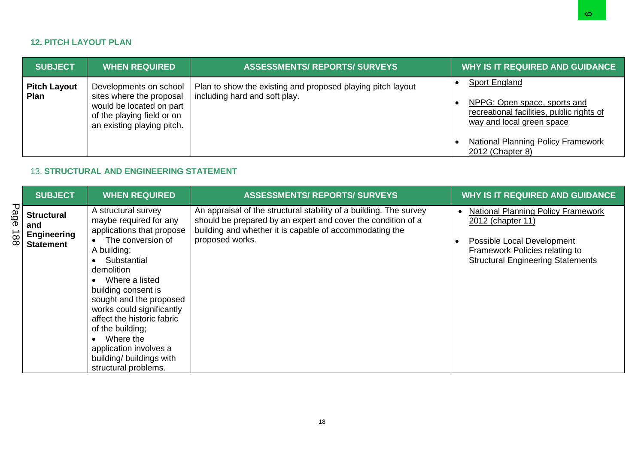### **12. PITCH LAYOUT PLAN**

|             |                                                                    |                                                                                                                                                                                               |                                                                                                                                                                                                                  | అ                                                                                                                                                                                                                                      |
|-------------|--------------------------------------------------------------------|-----------------------------------------------------------------------------------------------------------------------------------------------------------------------------------------------|------------------------------------------------------------------------------------------------------------------------------------------------------------------------------------------------------------------|----------------------------------------------------------------------------------------------------------------------------------------------------------------------------------------------------------------------------------------|
|             | <b>12. PITCH LAYOUT PLAN</b>                                       |                                                                                                                                                                                               |                                                                                                                                                                                                                  |                                                                                                                                                                                                                                        |
|             | <b>SUBJECT</b>                                                     | <b>WHEN REQUIRED</b>                                                                                                                                                                          | <b>ASSESSMENTS/ REPORTS/ SURVEYS</b>                                                                                                                                                                             | <b>WHY IS IT REQUIRED AND GUIDANCE</b>                                                                                                                                                                                                 |
|             | <b>Pitch Layout</b><br>Plan                                        | Developments on school<br>sites where the proposal<br>would be located on part<br>of the playing field or on<br>an existing playing pitch.<br><b>13. STRUCTURAL AND ENGINEERING STATEMENT</b> | Plan to show the existing and proposed playing pitch layout<br>including hard and soft play.                                                                                                                     | <b>Sport England</b><br>$\bullet$<br>NPPG: Open space, sports and<br>$\bullet$<br>recreational facilities, public rights of<br>way and local green space<br><b>National Planning Policy Framework</b><br>$\bullet$<br>2012 (Chapter 8) |
|             | <b>SUBJECT</b>                                                     | <b>WHEN REQUIRED</b>                                                                                                                                                                          | <b>ASSESSMENTS/ REPORTS/ SURVEYS</b>                                                                                                                                                                             | <b>WHY IS IT REQUIRED AND GUIDANCE</b>                                                                                                                                                                                                 |
| Page<br>188 | <b>Structural</b><br>and<br><b>Engineering</b><br><b>Statement</b> | A structural survey<br>maybe required for any<br>applications that propose<br>The conversion of<br>$\bullet$                                                                                  | An appraisal of the structural stability of a building. The survey<br>should be prepared by an expert and cover the condition of a<br>building and whether it is capable of accommodating the<br>proposed works. | <b>National Planning Policy Framework</b><br>2012 (chapter 11)<br>Possible Local Development<br>$\bullet$                                                                                                                              |

### 13. **STRUCTURAL AND ENGINEERING STATEMENT**

| <b>SUBJECT</b>                                                     | <b>WHEN REQUIRED</b>                                                                                                                                                                                                                                                                                                                                                                      | <b>ASSESSMENTS/ REPORTS/ SURVEYS</b>                                                                                                                                                                             | <b>WHY IS IT REQUIRED AND GUIDANCE</b>                                                                                                                                                  |
|--------------------------------------------------------------------|-------------------------------------------------------------------------------------------------------------------------------------------------------------------------------------------------------------------------------------------------------------------------------------------------------------------------------------------------------------------------------------------|------------------------------------------------------------------------------------------------------------------------------------------------------------------------------------------------------------------|-----------------------------------------------------------------------------------------------------------------------------------------------------------------------------------------|
| <b>Structural</b><br>and<br><b>Engineering</b><br><b>Statement</b> | A structural survey<br>maybe required for any<br>applications that propose<br>The conversion of<br>A building;<br>Substantial<br>demolition<br>Where a listed<br>building consent is<br>sought and the proposed<br>works could significantly<br>affect the historic fabric<br>of the building;<br>Where the<br>application involves a<br>building/ buildings with<br>structural problems. | An appraisal of the structural stability of a building. The survey<br>should be prepared by an expert and cover the condition of a<br>building and whether it is capable of accommodating the<br>proposed works. | <b>National Planning Policy Framework</b><br>$\bullet$<br>2012 (chapter 11)<br>Possible Local Development<br>Framework Policies relating to<br><b>Structural Engineering Statements</b> |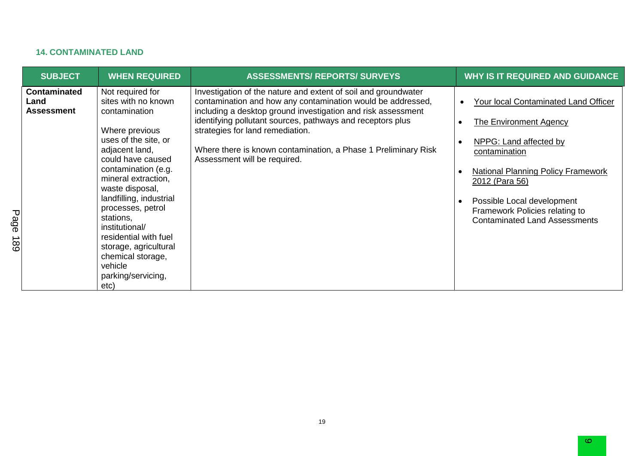# **14. CONTAMINATED LAND**

| <b>SUBJECT</b>                            | <b>WHEN REQUIRED</b>                                                                                                                                                                                                                                                                                                                                                                                      | <b>ASSESSMENTS/ REPORTS/ SURVEYS</b>                                                                                                                                                                                                                                                                                                                                                              | <b>WHY IS IT REQUIRED AND GUIDANCE</b>                                                                                                                                                                                                                                                                                                     |
|-------------------------------------------|-----------------------------------------------------------------------------------------------------------------------------------------------------------------------------------------------------------------------------------------------------------------------------------------------------------------------------------------------------------------------------------------------------------|---------------------------------------------------------------------------------------------------------------------------------------------------------------------------------------------------------------------------------------------------------------------------------------------------------------------------------------------------------------------------------------------------|--------------------------------------------------------------------------------------------------------------------------------------------------------------------------------------------------------------------------------------------------------------------------------------------------------------------------------------------|
| <b>Contaminated</b><br>Land<br>Assessment | Not required for<br>sites with no known<br>contamination<br>Where previous<br>uses of the site, or<br>adjacent land,<br>could have caused<br>contamination (e.g.<br>mineral extraction,<br>waste disposal,<br>landfilling, industrial<br>processes, petrol<br>stations,<br>institutional/<br>residential with fuel<br>storage, agricultural<br>chemical storage,<br>vehicle<br>parking/servicing,<br>etc) | Investigation of the nature and extent of soil and groundwater<br>contamination and how any contamination would be addressed,<br>including a desktop ground investigation and risk assessment<br>identifying pollutant sources, pathways and receptors plus<br>strategies for land remediation.<br>Where there is known contamination, a Phase 1 Preliminary Risk<br>Assessment will be required. | Your local Contaminated Land Officer<br>$\bullet$<br>The Environment Agency<br>$\bullet$<br>NPPG: Land affected by<br>$\bullet$<br>contamination<br>National Planning Policy Framework<br>$\bullet$<br>2012 (Para 56)<br>Possible Local development<br>$\bullet$<br>Framework Policies relating to<br><b>Contaminated Land Assessments</b> |